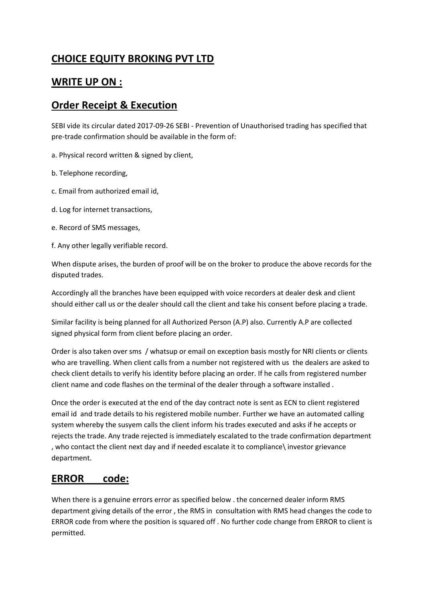## **CHOICE EQUITY BROKING PVT LTD**

## **WRITE UP ON :**

## **Order Receipt & Execution**

SEBI vide its circular dated 2017-09-26 SEBI - Prevention of Unauthorised trading has specified that pre-trade confirmation should be available in the form of:

a. Physical record written & signed by client,

- b. Telephone recording,
- c. Email from authorized email id,
- d. Log for internet transactions,
- e. Record of SMS messages,
- f. Any other legally verifiable record.

When dispute arises, the burden of proof will be on the broker to produce the above records for the disputed trades.

Accordingly all the branches have been equipped with voice recorders at dealer desk and client should either call us or the dealer should call the client and take his consent before placing a trade.

Similar facility is being planned for all Authorized Person (A.P) also. Currently A.P are collected signed physical form from client before placing an order.

Order is also taken over sms / whatsup or email on exception basis mostly for NRI clients or clients who are travelling. When client calls from a number not registered with us the dealers are asked to check client details to verify his identity before placing an order. If he calls from registered number client name and code flashes on the terminal of the dealer through a software installed .

Once the order is executed at the end of the day contract note is sent as ECN to client registered email id and trade details to his registered mobile number. Further we have an automated calling system whereby the susyem calls the client inform his trades executed and asks if he accepts or rejects the trade. Any trade rejected is immediately escalated to the trade confirmation department , who contact the client next day and if needed escalate it to compliance\ investor grievance department.

## **ERROR code:**

When there is a genuine errors error as specified below . the concerned dealer inform RMS department giving details of the error , the RMS in consultation with RMS head changes the code to ERROR code from where the position is squared off . No further code change from ERROR to client is permitted.